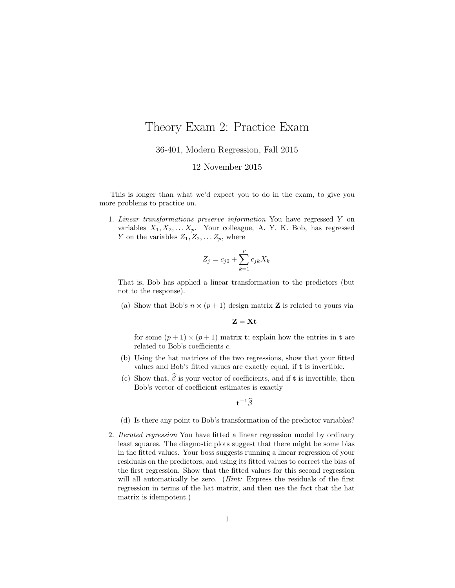## Theory Exam 2: Practice Exam

36-401, Modern Regression, Fall 2015

## 12 November 2015

This is longer than what we'd expect you to do in the exam, to give you more problems to practice on.

1. Linear transformations preserve information You have regressed Y on variables  $X_1, X_2, \ldots X_p$ . Your colleague, A. Y. K. Bob, has regressed Y on the variables  $Z_1, Z_2, \ldots Z_p$ , where

$$
Z_j = c_{j0} + \sum_{k=1}^p c_{jk} X_k
$$

That is, Bob has applied a linear transformation to the predictors (but not to the response).

(a) Show that Bob's  $n \times (p+1)$  design matrix **Z** is related to yours via

$$
\mathbf{Z}=\mathbf{X}\mathbf{t}
$$

for some  $(p+1) \times (p+1)$  matrix **t**; explain how the entries in **t** are related to Bob's coefficients c.

- (b) Using the hat matrices of the two regressions, show that your fitted values and Bob's fitted values are exactly equal, if t is invertible.
- (c) Show that,  $\widehat{\beta}$  is your vector of coefficients, and if **t** is invertible, then Bob's vector of coefficient estimates is exactly

 $\mathbf{t}^{-1}\widehat{\beta}$ 

- (d) Is there any point to Bob's transformation of the predictor variables?
- 2. Iterated regression You have fitted a linear regression model by ordinary least squares. The diagnostic plots suggest that there might be some bias in the fitted values. Your boss suggests running a linear regression of your residuals on the predictors, and using its fitted values to correct the bias of the first regression. Show that the fitted values for this second regression will all automatically be zero. (*Hint*: Express the residuals of the first regression in terms of the hat matrix, and then use the fact that the hat matrix is idempotent.)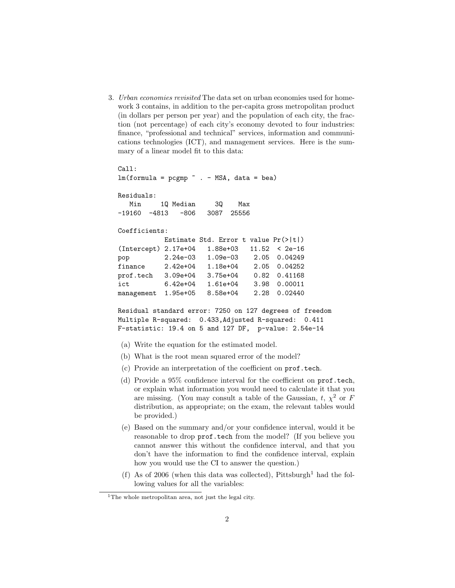3. Urban economies revisited The data set on urban economies used for homework 3 contains, in addition to the per-capita gross metropolitan product (in dollars per person per year) and the population of each city, the fraction (not percentage) of each city's economy devoted to four industries: finance, "professional and technical" services, information and communications technologies (ICT), and management services. Here is the summary of a linear model fit to this data:

Call:  $lm(formula = pcgmp " . - MSA, data = bea)$ Residuals: Min 1Q Median 3Q Max -19160 -4813 -806 3087 25556 Coefficients: Estimate Std. Error t value Pr(>|t|) (Intercept) 2.17e+04 1.88e+03 11.52 < 2e-16 pop 2.24e-03 1.09e-03 2.05 0.04249 finance 2.42e+04 1.18e+04 2.05 0.04252 prof.tech 3.09e+04 3.75e+04 0.82 0.41168 ict 6.42e+04 1.61e+04 3.98 0.00011 management 1.95e+05 8.58e+04 2.28 0.02440 Residual standard error: 7250 on 127 degrees of freedom Multiple R-squared: 0.433,Adjusted R-squared: 0.411 F-statistic: 19.4 on 5 and 127 DF, p-value: 2.54e-14 (a) Write the equation for the estimated model. (b) What is the root mean squared error of the model? (c) Provide an interpretation of the coefficient on prof.tech. (d) Provide a 95% confidence interval for the coefficient on prof.tech, or explain what information you would need to calculate it that you are missing. (You may consult a table of the Gaussian,  $t, \chi^2$  or F distribution, as appropriate; on the exam, the relevant tables would be provided.) (e) Based on the summary and/or your confidence interval, would it be

- reasonable to drop prof.tech from the model? (If you believe you cannot answer this without the confidence interval, and that you don't have the information to find the confidence interval, explain how you would use the CI to answer the question.)
- (f) As of 2006 (when this data was collected), Pittsburgh<sup>1</sup> had the following values for all the variables:

<sup>&</sup>lt;sup>1</sup>The whole metropolitan area, not just the legal city.